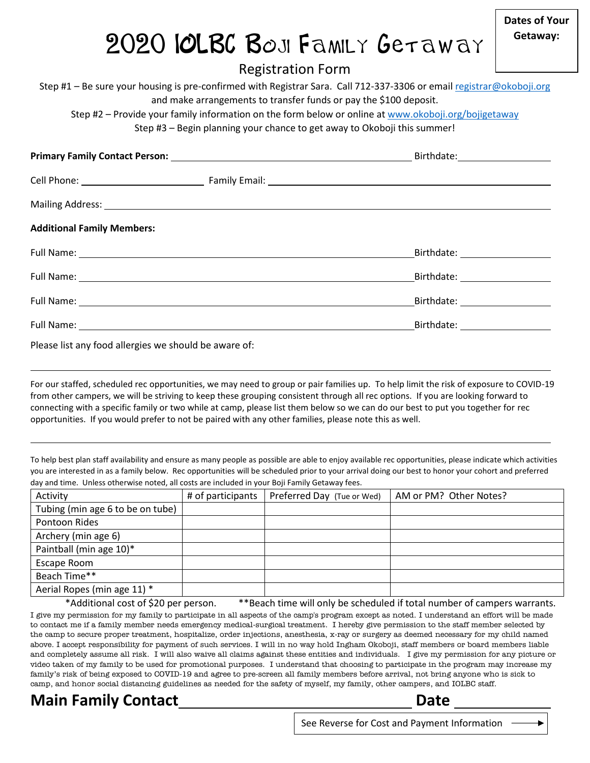## 2020 IOLBC BOJI Family Getaway

Registration Form

Step #1 – Be sure your housing is pre-confirmed with Registrar Sara. Call 712-337-3306 or emai[l registrar@okoboji.org](mailto:registrar@okoboji.org) and make arrangements to transfer funds or pay the \$100 deposit.

Step #2 – Provide your family information on the form below or online at [www.okoboji.org/bojigetaway](http://www.okoboji.org/bojigetaway)

Step #3 – Begin planning your chance to get away to Okoboji this summer!

|                                                                                                                                                                                                                                | Mailing Address: 1988 and 2008 and 2008 and 2008 and 2008 and 2008 and 2008 and 2008 and 2008 and 2008 and 200 |  |
|--------------------------------------------------------------------------------------------------------------------------------------------------------------------------------------------------------------------------------|----------------------------------------------------------------------------------------------------------------|--|
| <b>Additional Family Members:</b>                                                                                                                                                                                              |                                                                                                                |  |
|                                                                                                                                                                                                                                | Birthdate: 1999 March 2004                                                                                     |  |
| Full Name: 1988 Contract Contract Contract Contract Contract Contract Contract Contract Contract Contract Contract Contract Contract Contract Contract Contract Contract Contract Contract Contract Contract Contract Contract |                                                                                                                |  |
| Full Name: 1988 Contract Contract Contract Contract Contract Contract Contract Contract Contract Contract Contract Contract Contract Contract Contract Contract Contract Contract Contract Contract Contract Contract Contract | Birthdate: 1999 March 2004                                                                                     |  |
|                                                                                                                                                                                                                                |                                                                                                                |  |
| $\mathbf{r}$ , and $\mathbf{r}$ , and $\mathbf{r}$ , and $\mathbf{r}$ , and $\mathbf{r}$ , and $\mathbf{r}$                                                                                                                    |                                                                                                                |  |

Please list any food allergies we should be aware of:

For our staffed, scheduled rec opportunities, we may need to group or pair families up. To help limit the risk of exposure to COVID-19 from other campers, we will be striving to keep these grouping consistent through all rec options. If you are looking forward to connecting with a specific family or two while at camp, please list them below so we can do our best to put you together for rec opportunities. If you would prefer to not be paired with any other families, please note this as well.

To help best plan staff availability and ensure as many people as possible are able to enjoy available rec opportunities, please indicate which activities you are interested in as a family below. Rec opportunities will be scheduled prior to your arrival doing our best to honor your cohort and preferred day and time. Unless otherwise noted, all costs are included in your Boji Family Getaway fees.

| Activity                         | # of participants | Preferred Day (Tue or Wed) | AM or PM? Other Notes? |
|----------------------------------|-------------------|----------------------------|------------------------|
| Tubing (min age 6 to be on tube) |                   |                            |                        |
| Pontoon Rides                    |                   |                            |                        |
| Archery (min age 6)              |                   |                            |                        |
| Paintball (min age 10)*          |                   |                            |                        |
| Escape Room                      |                   |                            |                        |
| Beach Time**                     |                   |                            |                        |
| Aerial Ropes (min age 11) *      |                   |                            |                        |

\*Additional cost of \$20 per person. \*\*Beach time will only be scheduled if total number of campers warrants.

I give my permission for my family to participate in all aspects of the camp's program except as noted. I understand an effort will be made to contact me if a family member needs emergency medical-surgical treatment. I hereby give permission to the staff member selected by the camp to secure proper treatment, hospitalize, order injections, anesthesia, x-ray or surgery as deemed necessary for my child named above. I accept responsibility for payment of such services. I will in no way hold Ingham Okoboji, staff members or board members liable and completely assume all risk. I will also waive all claims against these entities and individuals. I give my permission for any picture or video taken of my family to be used for promotional purposes. I understand that choosing to participate in the program may increase my family's risk of being exposed to COVID-19 and agree to pre-screen all family members before arrival, not bring anyone who is sick to camp, and honor social distancing guidelines as needed for the safety of myself, my family, other campers, and IOLBC staff.

**Main Family Contact Date** 

See Reverse for Cost and Payment Information